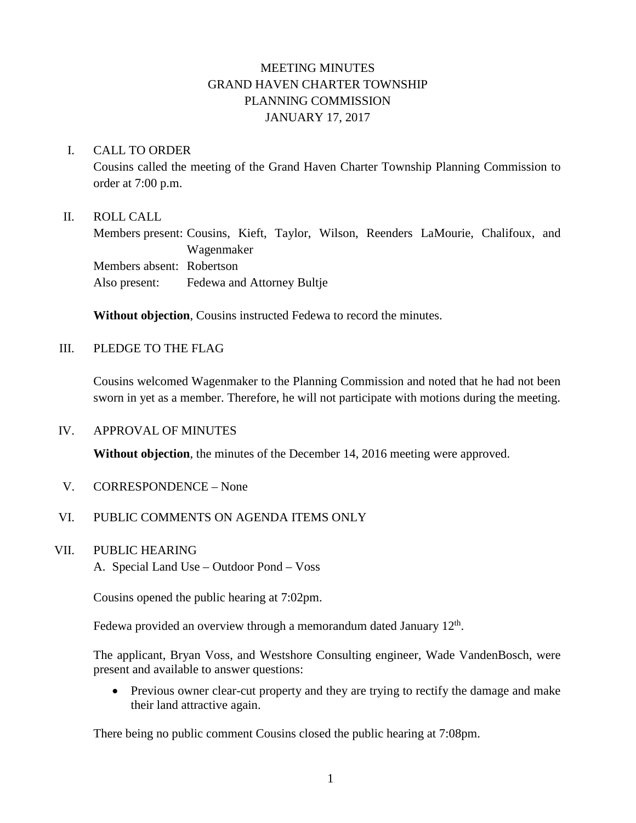# MEETING MINUTES GRAND HAVEN CHARTER TOWNSHIP PLANNING COMMISSION JANUARY 17, 2017

### I. CALL TO ORDER

Cousins called the meeting of the Grand Haven Charter Township Planning Commission to order at 7:00 p.m.

### II. ROLL CALL

Members present: Cousins, Kieft, Taylor, Wilson, Reenders LaMourie, Chalifoux, and Wagenmaker Members absent: Robertson Also present: Fedewa and Attorney Bultje

**Without objection**, Cousins instructed Fedewa to record the minutes.

### III. PLEDGE TO THE FLAG

Cousins welcomed Wagenmaker to the Planning Commission and noted that he had not been sworn in yet as a member. Therefore, he will not participate with motions during the meeting.

### IV. APPROVAL OF MINUTES

**Without objection**, the minutes of the December 14, 2016 meeting were approved.

V. CORRESPONDENCE – None

## VI. PUBLIC COMMENTS ON AGENDA ITEMS ONLY

### VII. PUBLIC HEARING

A. Special Land Use – Outdoor Pond – Voss

Cousins opened the public hearing at 7:02pm.

Fedewa provided an overview through a memorandum dated January  $12<sup>th</sup>$ .

The applicant, Bryan Voss, and Westshore Consulting engineer, Wade VandenBosch, were present and available to answer questions:

• Previous owner clear-cut property and they are trying to rectify the damage and make their land attractive again.

There being no public comment Cousins closed the public hearing at 7:08pm.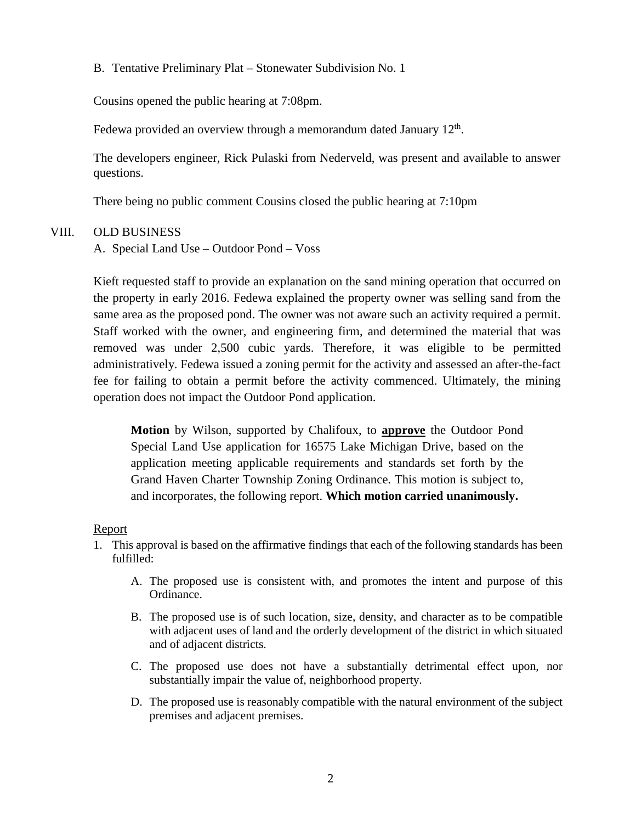B. Tentative Preliminary Plat – Stonewater Subdivision No. 1

Cousins opened the public hearing at 7:08pm.

Fedewa provided an overview through a memorandum dated January  $12<sup>th</sup>$ .

The developers engineer, Rick Pulaski from Nederveld, was present and available to answer questions.

There being no public comment Cousins closed the public hearing at 7:10pm

### VIII. OLD BUSINESS

A. Special Land Use – Outdoor Pond – Voss

Kieft requested staff to provide an explanation on the sand mining operation that occurred on the property in early 2016. Fedewa explained the property owner was selling sand from the same area as the proposed pond. The owner was not aware such an activity required a permit. Staff worked with the owner, and engineering firm, and determined the material that was removed was under 2,500 cubic yards. Therefore, it was eligible to be permitted administratively. Fedewa issued a zoning permit for the activity and assessed an after-the-fact fee for failing to obtain a permit before the activity commenced. Ultimately, the mining operation does not impact the Outdoor Pond application.

**Motion** by Wilson, supported by Chalifoux, to **approve** the Outdoor Pond Special Land Use application for 16575 Lake Michigan Drive, based on the application meeting applicable requirements and standards set forth by the Grand Haven Charter Township Zoning Ordinance. This motion is subject to, and incorporates, the following report. **Which motion carried unanimously.**

### Report

- 1. This approval is based on the affirmative findings that each of the following standards has been fulfilled:
	- A. The proposed use is consistent with, and promotes the intent and purpose of this Ordinance.
	- B. The proposed use is of such location, size, density, and character as to be compatible with adjacent uses of land and the orderly development of the district in which situated and of adjacent districts.
	- C. The proposed use does not have a substantially detrimental effect upon, nor substantially impair the value of, neighborhood property.
	- D. The proposed use is reasonably compatible with the natural environment of the subject premises and adjacent premises.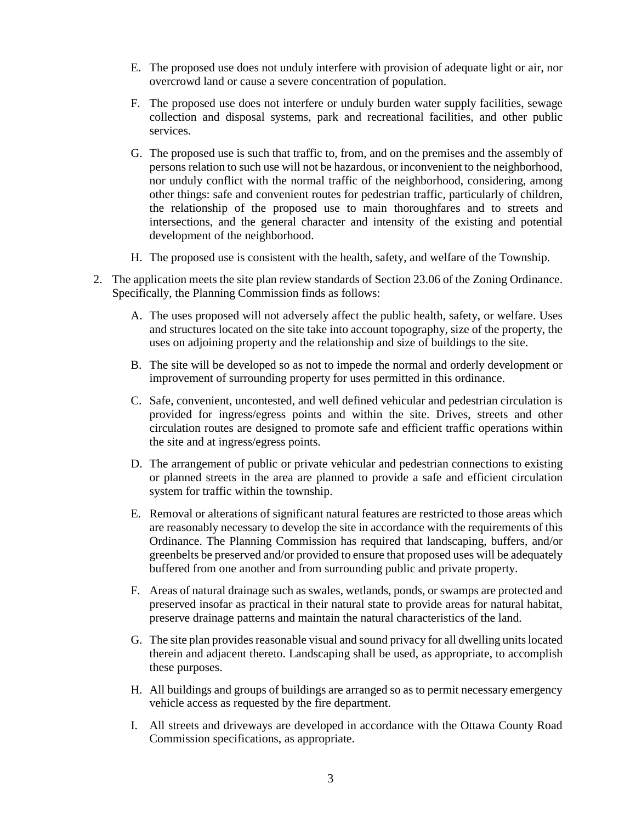- E. The proposed use does not unduly interfere with provision of adequate light or air, nor overcrowd land or cause a severe concentration of population.
- F. The proposed use does not interfere or unduly burden water supply facilities, sewage collection and disposal systems, park and recreational facilities, and other public services.
- G. The proposed use is such that traffic to, from, and on the premises and the assembly of persons relation to such use will not be hazardous, or inconvenient to the neighborhood, nor unduly conflict with the normal traffic of the neighborhood, considering, among other things: safe and convenient routes for pedestrian traffic, particularly of children, the relationship of the proposed use to main thoroughfares and to streets and intersections, and the general character and intensity of the existing and potential development of the neighborhood.
- H. The proposed use is consistent with the health, safety, and welfare of the Township.
- 2. The application meets the site plan review standards of Section 23.06 of the Zoning Ordinance. Specifically, the Planning Commission finds as follows:
	- A. The uses proposed will not adversely affect the public health, safety, or welfare. Uses and structures located on the site take into account topography, size of the property, the uses on adjoining property and the relationship and size of buildings to the site.
	- B. The site will be developed so as not to impede the normal and orderly development or improvement of surrounding property for uses permitted in this ordinance.
	- C. Safe, convenient, uncontested, and well defined vehicular and pedestrian circulation is provided for ingress/egress points and within the site. Drives, streets and other circulation routes are designed to promote safe and efficient traffic operations within the site and at ingress/egress points.
	- D. The arrangement of public or private vehicular and pedestrian connections to existing or planned streets in the area are planned to provide a safe and efficient circulation system for traffic within the township.
	- E. Removal or alterations of significant natural features are restricted to those areas which are reasonably necessary to develop the site in accordance with the requirements of this Ordinance. The Planning Commission has required that landscaping, buffers, and/or greenbelts be preserved and/or provided to ensure that proposed uses will be adequately buffered from one another and from surrounding public and private property.
	- F. Areas of natural drainage such as swales, wetlands, ponds, or swamps are protected and preserved insofar as practical in their natural state to provide areas for natural habitat, preserve drainage patterns and maintain the natural characteristics of the land.
	- G. The site plan provides reasonable visual and sound privacy for all dwelling units located therein and adjacent thereto. Landscaping shall be used, as appropriate, to accomplish these purposes.
	- H. All buildings and groups of buildings are arranged so as to permit necessary emergency vehicle access as requested by the fire department.
	- I. All streets and driveways are developed in accordance with the Ottawa County Road Commission specifications, as appropriate.